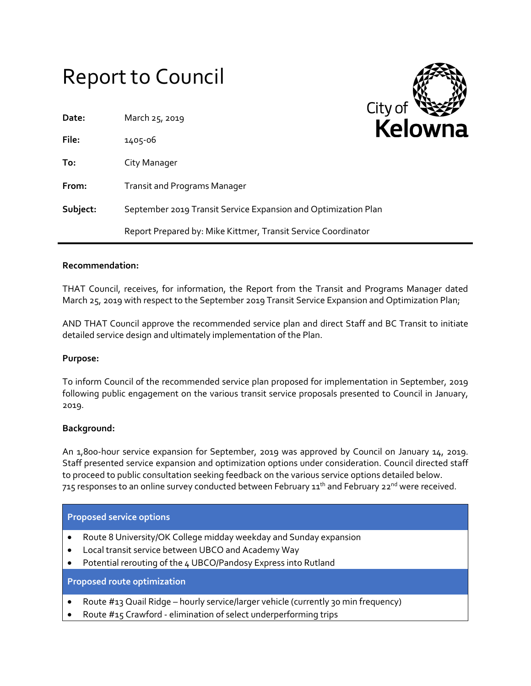# Report to Council

| Date:    | March 25, 2019                                                 | City o |  |
|----------|----------------------------------------------------------------|--------|--|
| File:    | 1405-06                                                        | Ke     |  |
| To:      | City Manager                                                   |        |  |
| From:    | <b>Transit and Programs Manager</b>                            |        |  |
| Subject: | September 2019 Transit Service Expansion and Optimization Plan |        |  |
|          | Report Prepared by: Mike Kittmer, Transit Service Coordinator  |        |  |

## **Recommendation:**

THAT Council, receives, for information, the Report from the Transit and Programs Manager dated March 25, 2019 with respect to the September 2019 Transit Service Expansion and Optimization Plan;

AND THAT Council approve the recommended service plan and direct Staff and BC Transit to initiate detailed service design and ultimately implementation of the Plan.

#### **Purpose:**

To inform Council of the recommended service plan proposed for implementation in September, 2019 following public engagement on the various transit service proposals presented to Council in January, 2019.

# **Background:**

An 1,800-hour service expansion for September, 2019 was approved by Council on January 14, 2019. Staff presented service expansion and optimization options under consideration. Council directed staff to proceed to public consultation seeking feedback on the various service options detailed below. 715 responses to an online survey conducted between February  $11<sup>th</sup>$  and February 22<sup>nd</sup> were received.

| <b>Proposed service options</b>    |                                                                     |  |  |
|------------------------------------|---------------------------------------------------------------------|--|--|
|                                    | • Route 8 University/OK College midday weekday and Sunday expansion |  |  |
|                                    | • Local transit service between UBCO and Academy Way                |  |  |
|                                    | • Potential rerouting of the 4 UBCO/Pandosy Express into Rutland    |  |  |
| <b>Proposed route optimization</b> |                                                                     |  |  |

- Route #13 Quail Ridge hourly service/larger vehicle (currently 30 min frequency)
- Route #15 Crawford elimination of select underperforming trips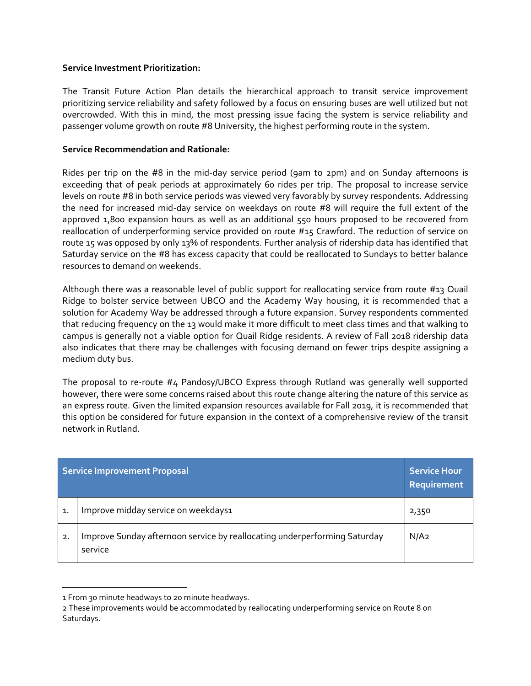# **Service Investment Prioritization:**

The Transit Future Action Plan details the hierarchical approach to transit service improvement prioritizing service reliability and safety followed by a focus on ensuring buses are well utilized but not overcrowded. With this in mind, the most pressing issue facing the system is service reliability and passenger volume growth on route #8 University, the highest performing route in the system.

# **Service Recommendation and Rationale:**

Rides per trip on the #8 in the mid-day service period (9am to 2pm) and on Sunday afternoons is exceeding that of peak periods at approximately 60 rides per trip. The proposal to increase service levels on route #8 in both service periods was viewed very favorably by survey respondents. Addressing the need for increased mid-day service on weekdays on route #8 will require the full extent of the approved 1,800 expansion hours as well as an additional 550 hours proposed to be recovered from reallocation of underperforming service provided on route #15 Crawford. The reduction of service on route 15 was opposed by only 13% of respondents. Further analysis of ridership data has identified that Saturday service on the #8 has excess capacity that could be reallocated to Sundays to better balance resources to demand on weekends.

Although there was a reasonable level of public support for reallocating service from route #13 Quail Ridge to bolster service between UBCO and the Academy Way housing, it is recommended that a solution for Academy Way be addressed through a future expansion. Survey respondents commented that reducing frequency on the 13 would make it more difficult to meet class times and that walking to campus is generally not a viable option for Quail Ridge residents. A review of Fall 2018 ridership data also indicates that there may be challenges with focusing demand on fewer trips despite assigning a medium duty bus.

The proposal to re-route #4 Pandosy/UBCO Express through Rutland was generally well supported however, there were some concerns raised about this route change altering the nature of this service as an express route. Given the limited expansion resources available for Fall 2019, it is recommended that this option be considered for future expansion in the context of a comprehensive review of the transit network in Rutland.

| Service Improvement Proposal | <b>Service Hour</b><br>Requirement                                                   |                  |
|------------------------------|--------------------------------------------------------------------------------------|------------------|
| $\mathbf{1}$                 | Improve midday service on weekdays1                                                  | 2,350            |
| 2.                           | Improve Sunday afternoon service by reallocating underperforming Saturday<br>service | N/A <sub>2</sub> |

<sup>1</sup> From 30 minute headways to 20 minute headways.

 $\overline{\phantom{a}}$ 

<sup>2</sup> These improvements would be accommodated by reallocating underperforming service on Route 8 on Saturdays.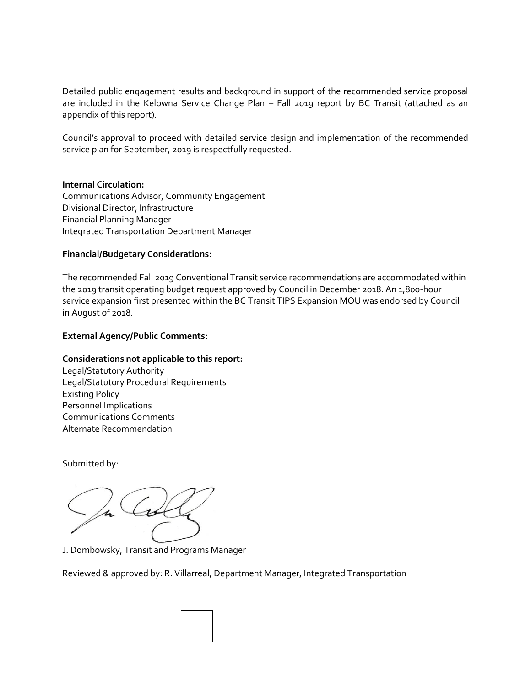Detailed public engagement results and background in support of the recommended service proposal are included in the Kelowna Service Change Plan – Fall 2019 report by BC Transit (attached as an appendix of this report).

Council's approval to proceed with detailed service design and implementation of the recommended service plan for September, 2019 is respectfully requested.

# **Internal Circulation:**

Communications Advisor, Community Engagement Divisional Director, Infrastructure Financial Planning Manager Integrated Transportation Department Manager

# **Financial/Budgetary Considerations:**

The recommended Fall 2019 Conventional Transit service recommendations are accommodated within the 2019 transit operating budget request approved by Council in December 2018. An 1,800-hour service expansion first presented within the BC Transit TIPS Expansion MOU was endorsed by Council in August of 2018.

## **External Agency/Public Comments:**

# **Considerations not applicable to this report:**

Legal/Statutory Authority Legal/Statutory Procedural Requirements Existing Policy Personnel Implications Communications Comments Alternate Recommendation

Submitted by:

 $\overline{\mathcal{H}}$ 

J. Dombowsky, Transit and Programs Manager

Reviewed & approved by: R. Villarreal, Department Manager, Integrated Transportation